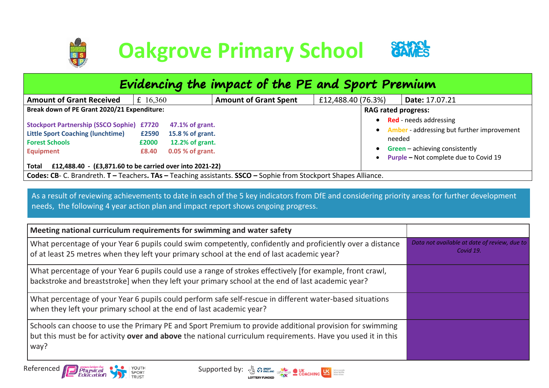

| Evidencing the impact of the PE and Sport Premium                                                                                                                                                                                                                                                                                                                                                                                                                                                                                     |  |  |  |  |  |  |  |  |  |  |
|---------------------------------------------------------------------------------------------------------------------------------------------------------------------------------------------------------------------------------------------------------------------------------------------------------------------------------------------------------------------------------------------------------------------------------------------------------------------------------------------------------------------------------------|--|--|--|--|--|--|--|--|--|--|
| <b>Amount of Grant Received</b><br><b>Amount of Grant Spent</b><br>£12,488.40 (76.3%)<br>£ 16,360<br>Date: 17.07.21                                                                                                                                                                                                                                                                                                                                                                                                                   |  |  |  |  |  |  |  |  |  |  |
| Break down of PE Grant 2020/21 Expenditure:<br><b>RAG rated progress:</b>                                                                                                                                                                                                                                                                                                                                                                                                                                                             |  |  |  |  |  |  |  |  |  |  |
| <b>Red</b> - needs addressing<br>$\bullet$<br><b>Stockport Partnership (SSCO Sophie) £7720</b><br>47.1% of grant.<br><b>Amber</b> - addressing but further improvement<br>$\bullet$<br><b>Little Sport Coaching (lunchtime)</b><br>15.8 % of grant.<br>£2590<br>needed<br><b>Forest Schools</b><br>12.2% of grant.<br>£2000<br>$Green - achieving$ consistently<br>0.05 % of grant.<br><b>Equipment</b><br>£8.40<br>Purple - Not complete due to Covid 19<br>£12,488.40 - (£3,871.60 to be carried over into 2021-22)<br><b>Total</b> |  |  |  |  |  |  |  |  |  |  |
| Codes: CB- C. Brandreth. T - Teachers. TAs - Teaching assistants. SSCO - Sophie from Stockport Shapes Alliance.                                                                                                                                                                                                                                                                                                                                                                                                                       |  |  |  |  |  |  |  |  |  |  |

As a result of reviewing achievements to date in each of the 5 key indicators from DfE and considering priority areas for further development needs, the following 4 year action plan and impact report shows ongoing progress.

| Meeting national curriculum requirements for swimming and water safety                                                                                                                                                         |                                                           |
|--------------------------------------------------------------------------------------------------------------------------------------------------------------------------------------------------------------------------------|-----------------------------------------------------------|
| What percentage of your Year 6 pupils could swim competently, confidently and proficiently over a distance<br>of at least 25 metres when they left your primary school at the end of last academic year?                       | Data not available at date of review, due to<br>Covid 19. |
| What percentage of your Year 6 pupils could use a range of strokes effectively [for example, front crawl,<br>backstroke and breaststroke] when they left your primary school at the end of last academic year?                 |                                                           |
| What percentage of your Year 6 pupils could perform safe self-rescue in different water-based situations<br>when they left your primary school at the end of last academic year?                                               |                                                           |
| Schools can choose to use the Primary PE and Sport Premium to provide additional provision for swimming<br>but this must be for activity over and above the national curriculum requirements. Have you used it in this<br>way? |                                                           |

Referenced /

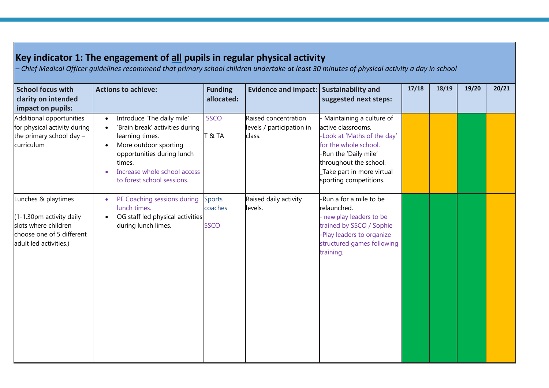| <b>School focus with</b><br>clarity on intended<br>impact on pupils:                                                           | <b>Actions to achieve:</b>                                                                                                                                                                                                   | <b>Funding</b><br>allocated:            | Evidence and impact: Sustainability and                     | suggested next steps:                                                                                                                                                                                            | 17/18 | 18/19 | 19/20 | 20/21 |
|--------------------------------------------------------------------------------------------------------------------------------|------------------------------------------------------------------------------------------------------------------------------------------------------------------------------------------------------------------------------|-----------------------------------------|-------------------------------------------------------------|------------------------------------------------------------------------------------------------------------------------------------------------------------------------------------------------------------------|-------|-------|-------|-------|
| Additional opportunities<br>for physical activity during<br>the primary school day $-$<br>curriculum                           | Introduce 'The daily mile'<br>'Brain break' activities during<br>$\bullet$<br>learning times.<br>More outdoor sporting<br>opportunities during lunch<br>times.<br>Increase whole school access<br>to forest school sessions. | SSCO<br>T > T A                         | Raised concentration<br>levels / participation in<br>class. | Maintaining a culture of<br>active classrooms.<br>-Look at 'Maths of the day'<br>for the whole school.<br>-Run the 'Daily mile'<br>throughout the school.<br>Take part in more virtual<br>sporting competitions. |       |       |       |       |
| Lunches & playtimes<br>(1-1.30pm activity daily<br>slots where children<br>choose one of 5 different<br>adult led activities.) | PE Coaching sessions during<br>$\bullet$<br>lunch times.<br>OG staff led physical activities<br>during lunch limes.                                                                                                          | <b>Sports</b><br>coaches<br><b>SSCO</b> | Raised daily activity<br>levels.                            | -Run a for a mile to be<br>relaunched.<br>- new play leaders to be<br>trained by SSCO / Sophie<br>-Play leaders to organize<br>structured games following<br>training.                                           |       |       |       |       |

**Key indicator 1: The engagement of all pupils in regular physical activity**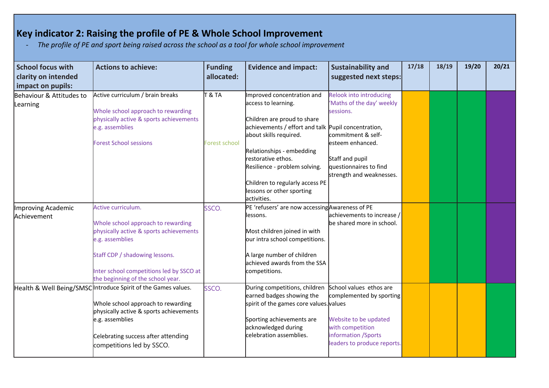## **Key indicator 2: Raising the profile of PE & Whole School Improvement**

*- The profile of PE and sport being raised across the school as a tool for whole school improvement*

| <b>School focus with</b><br>clarity on intended<br>impact on pupils: | <b>Actions to achieve:</b>                                                                                                                                                                                                                | <b>Funding</b><br>allocated: | <b>Evidence and impact:</b>                                                                                                                                                                                                                                                                                                          | <b>Sustainability and</b><br>suggested next steps:                                                                                                                                    | 17/18 | 18/19 | 19/20 | 20/21 |
|----------------------------------------------------------------------|-------------------------------------------------------------------------------------------------------------------------------------------------------------------------------------------------------------------------------------------|------------------------------|--------------------------------------------------------------------------------------------------------------------------------------------------------------------------------------------------------------------------------------------------------------------------------------------------------------------------------------|---------------------------------------------------------------------------------------------------------------------------------------------------------------------------------------|-------|-------|-------|-------|
| Behaviour & Attitudes to<br>Learning                                 | Active curriculum / brain breaks<br>Whole school approach to rewarding<br>physically active & sports achievements<br>e.g. assemblies<br><b>Forest School sessions</b>                                                                     | T & TA<br>Forest school      | Improved concentration and<br>access to learning.<br>Children are proud to share<br>achievements / effort and talk Pupil concentration,<br>about skills required.<br>Relationships - embedding<br>restorative ethos.<br>Resilience - problem solving.<br>Children to regularly access PE<br>lessons or other sporting<br>activities. | Relook into introducing<br>'Maths of the day' weekly<br>sessions.<br>commitment & self-<br>lesteem enhanced.<br>Staff and pupil<br>questionnaires to find<br>strength and weaknesses. |       |       |       |       |
| Improving Academic<br>Achievement                                    | Active curriculum.<br>Whole school approach to rewarding<br>physically active & sports achievements<br>e.g. assemblies<br>Staff CDP / shadowing lessons.<br>Inter school competitions led by SSCO at<br>the beginning of the school year. | SSCO.                        | PE 'refusers' are now accessing Awareness of PE<br>lessons.<br>Most children joined in with<br>our intra school competitions.<br>A large number of children<br>achieved awards from the SSA<br>competitions.                                                                                                                         | achievements to increase /<br>be shared more in school.                                                                                                                               |       |       |       |       |
|                                                                      | Health & Well Being/SMSC Introduce Spirit of the Games values.<br>Whole school approach to rewarding<br>physically active & sports achievements<br>e.g. assemblies<br>Celebrating success after attending<br>competitions led by SSCO.    | SSCO.                        | During competitions, children<br>earned badges showing the<br>spirit of the games core values. values<br>Sporting achievements are<br>acknowledged during<br>celebration assemblies.                                                                                                                                                 | School values ethos are<br>complemented by sporting<br>Website to be updated<br>with competition<br>information / Sports<br>leaders to produce reports.                               |       |       |       |       |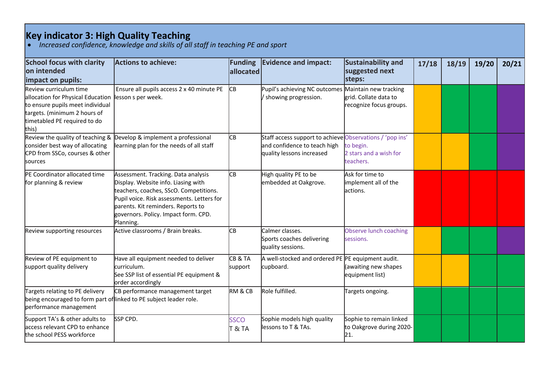## **Key indicator 3: High Quality Teaching**

• *Increased confidence, knowledge and skills of all staff in teaching PE and sport*

| <b>School focus with clarity</b><br>lon intended<br>impact on pupils:                                                                                                     | <b>Actions to achieve:</b>                                                                                                                                                                                                                                    | <b>Funding</b><br>allocated | <b>Evidence and impact:</b>                                                                                           | Sustainability and<br>suggested next<br>steps:             | 17/18 | 18/19 | 19/20 | 20/21 |
|---------------------------------------------------------------------------------------------------------------------------------------------------------------------------|---------------------------------------------------------------------------------------------------------------------------------------------------------------------------------------------------------------------------------------------------------------|-----------------------------|-----------------------------------------------------------------------------------------------------------------------|------------------------------------------------------------|-------|-------|-------|-------|
| Review curriculum time<br>allocation for Physical Education<br>to ensure pupils meet individual<br>targets. (minimum 2 hours of<br>timetabled PE required to do<br>lthis) | Ensure all pupils access 2 x 40 minute PE<br>lesson s per week.                                                                                                                                                                                               | CВ                          | Pupil's achieving NC outcomes Maintain new tracking<br>/ showing progression.                                         | grid. Collate data to<br>recognize focus groups.           |       |       |       |       |
| consider best way of allocating<br>CPD from SSCo, courses & other<br><b>sources</b>                                                                                       | Review the quality of teaching & Develop & implement a professional<br>learning plan for the needs of all staff                                                                                                                                               | CВ                          | Staff access support to achieve Observations / 'pop ins'<br>and confidence to teach high<br>quality lessons increased | to begin.<br>2 stars and a wish for<br>teachers.           |       |       |       |       |
| PE Coordinator allocated time<br>for planning & review                                                                                                                    | Assessment. Tracking. Data analysis<br>Display. Website info. Liasing with<br>teachers, coaches, SScO. Competitions.<br>Pupil voice. Risk assessments. Letters for<br>parents. Kit reminders. Reports to<br>governors. Policy. Impact form. CPD.<br>Planning. | CВ                          | High quality PE to be<br>embedded at Oakgrove.                                                                        | Ask for time to<br>implement all of the<br>lactions.       |       |       |       |       |
| Review supporting resources                                                                                                                                               | Active classrooms / Brain breaks.                                                                                                                                                                                                                             | CВ                          | Calmer classes.<br>Sports coaches delivering<br>quality sessions.                                                     | Observe lunch coaching<br>sessions.                        |       |       |       |       |
| Review of PE equipment to<br>support quality delivery                                                                                                                     | Have all equipment needed to deliver<br>curriculum.<br>See SSP list of essential PE equipment &<br>order accordingly                                                                                                                                          | CB&TA<br>support            | A well-stocked and ordered PE PE equipment audit.<br>cupboard.                                                        | (awaiting new shapes<br>equipment list)                    |       |       |       |       |
| Targets relating to PE delivery<br>being encouraged to form part of linked to PE subject leader role.<br>performance management                                           | CB performance management target                                                                                                                                                                                                                              | <b>RM &amp; CB</b>          | Role fulfilled.                                                                                                       | Targets ongoing.                                           |       |       |       |       |
| Support TA's & other adults to<br>access relevant CPD to enhance<br>the school PESS workforce                                                                             | SSP CPD.                                                                                                                                                                                                                                                      | SSCO<br>T & TA              | Sophie models high quality<br>lessons to T & TAs.                                                                     | Sophie to remain linked<br>to Oakgrove during 2020-<br>21. |       |       |       |       |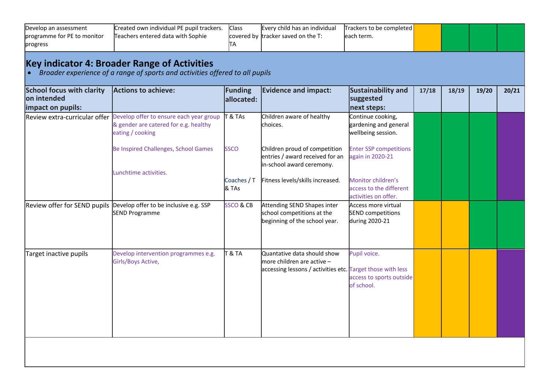| Develop an assessment<br>programme for PE to monitor                 | Created own individual PE pupil trackers.<br>Teachers entered data with Sophie                                                      | <b>Class</b><br>covered by   | Every child has an individual<br>tracker saved on the T:                                                                  | Trackers to be completed<br>each term.                                |       |       |       |       |
|----------------------------------------------------------------------|-------------------------------------------------------------------------------------------------------------------------------------|------------------------------|---------------------------------------------------------------------------------------------------------------------------|-----------------------------------------------------------------------|-------|-------|-------|-------|
| progress                                                             |                                                                                                                                     | ΙTΑ                          |                                                                                                                           |                                                                       |       |       |       |       |
|                                                                      | <b>Key indicator 4: Broader Range of Activities</b><br>Broader experience of a range of sports and activities offered to all pupils |                              |                                                                                                                           |                                                                       |       |       |       |       |
| <b>School focus with clarity</b><br>on intended<br>impact on pupils: | <b>Actions to achieve:</b>                                                                                                          | <b>Funding</b><br>allocated: | <b>Evidence and impact:</b>                                                                                               | <b>Sustainability and</b><br>suggested<br>next steps:                 | 17/18 | 18/19 | 19/20 | 20/21 |
| Review extra-curricular offer                                        | Develop offer to ensure each year group<br>& gender are catered for e.g. healthy<br>eating / cooking                                | $8$ TAs                      | Children aware of healthy<br>choices.                                                                                     | Continue cooking,<br>gardening and general<br>wellbeing session.      |       |       |       |       |
|                                                                      | Be Inspired Challenges, School Games                                                                                                | <b>SSCO</b>                  | Children proud of competition<br>entries / award received for an<br>in-school award ceremony.                             | <b>Enter SSP competitions</b><br>again in 2020-21                     |       |       |       |       |
|                                                                      | Lunchtime activities.                                                                                                               | Coaches / T<br>& TAs         | Fitness levels/skills increased.                                                                                          | Monitor children's<br>access to the different<br>activities on offer. |       |       |       |       |
| Review offer for SEND pupils                                         | Develop offer to be inclusive e.g. SSP<br><b>SEND Programme</b>                                                                     | <b>SSCO &amp; CB</b>         | Attending SEND Shapes inter<br>school competitions at the<br>beginning of the school year.                                | Access more virtual<br>SEND competitions<br>during 2020-21            |       |       |       |       |
| Target inactive pupils                                               | Develop intervention programmes e.g.<br>Girls/Boys Active,                                                                          | $T$ & TA                     | Quantative data should show<br>more children are active $-$<br>accessing lessons / activities etc. Target those with less | Pupil voice.<br>access to sports outside<br>of school.                |       |       |       |       |
|                                                                      |                                                                                                                                     |                              |                                                                                                                           |                                                                       |       |       |       |       |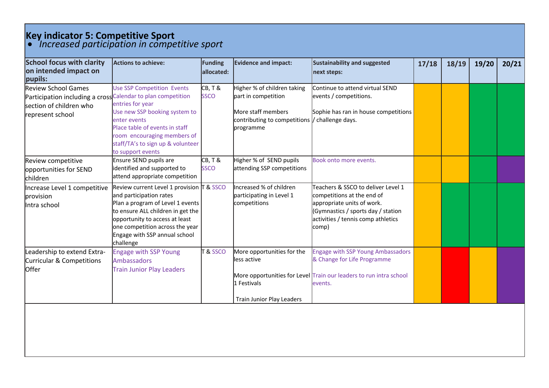## **Key indicator 5: Competitive Sport**

• *Increased participation in competitive sport*

| <b>School focus with clarity</b><br>on intended impact on<br>pupils:                                                                      | <b>Actions to achieve:</b>                                                                                                                                                                                                                                       | Funding<br>lallocated: | <b>Evidence and impact:</b>                                                                                                              | Sustainability and suggested<br>next steps:                                                                                                                                         | 17/18 | 18/19 | 19/20 | 20/21 |
|-------------------------------------------------------------------------------------------------------------------------------------------|------------------------------------------------------------------------------------------------------------------------------------------------------------------------------------------------------------------------------------------------------------------|------------------------|------------------------------------------------------------------------------------------------------------------------------------------|-------------------------------------------------------------------------------------------------------------------------------------------------------------------------------------|-------|-------|-------|-------|
| <b>Review School Games</b><br>Participation including a cross Calendar to plan competition<br>section of children who<br>represent school | <b>Use SSP Competition Events</b><br>entries for year<br>Use new SSP booking system to<br>enter events<br>Place table of events in staff<br>room encouraging members of<br>staff/TA's to sign up & volunteer<br>to support events                                | CB, T &<br><b>SSCO</b> | Higher % of children taking<br>part in competition<br>More staff members<br>contributing to competitions  / challenge days.<br>programme | Continue to attend virtual SEND<br>events / competitions.<br>Sophie has ran in house competitions                                                                                   |       |       |       |       |
| Review competitive<br>opportunities for SEND<br><b>children</b>                                                                           | Ensure SEND pupils are<br>identified and supported to<br>attend appropriate competition                                                                                                                                                                          | CB, T &<br><b>SSCO</b> | Higher % of SEND pupils<br>attending SSP competitions                                                                                    | Book onto more events.                                                                                                                                                              |       |       |       |       |
| Increase Level 1 competitive<br>provision<br>Intra school                                                                                 | Review current Level 1 provision T & SSCO<br>and participation rates<br>Plan a program of Level 1 events<br>to ensure ALL children in get the<br>opportunity to access at least<br>one competition across the year<br>Engage with SSP annual school<br>challenge |                        | Increased % of children<br>participating in Level 1<br>competitions                                                                      | Teachers & SSCO to deliver Level 1<br>competitions at the end of<br>appropriate units of work.<br>(Gymnastics / sports day / station<br>activities / tennis comp athletics<br>comp) |       |       |       |       |
| Leadership to extend Extra-<br><b>Curricular &amp; Competitions</b><br>Offer                                                              | <b>Engage with SSP Young</b><br><b>Ambassadors</b><br><b>Train Junior Play Leaders</b>                                                                                                                                                                           | T&SSCO                 | More opportunities for the<br>less active<br>1 Festivals                                                                                 | <b>Engage with SSP Young Ambassadors</b><br>& Change for Life Programme<br>More opportunities for Level Train our leaders to run intra school<br>events.                            |       |       |       |       |
|                                                                                                                                           |                                                                                                                                                                                                                                                                  |                        | <b>Train Junior Play Leaders</b>                                                                                                         |                                                                                                                                                                                     |       |       |       |       |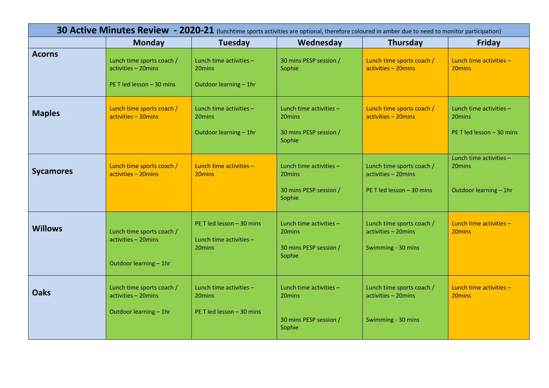|                  |                                                                               |                                                                | 30 Active Minutes Review - 2020-21 (lunchtime sports activities are optional, therefore coloured in amber due to need to monitor participation) |                                                                               |                                                                            |
|------------------|-------------------------------------------------------------------------------|----------------------------------------------------------------|-------------------------------------------------------------------------------------------------------------------------------------------------|-------------------------------------------------------------------------------|----------------------------------------------------------------------------|
|                  | <b>Monday</b>                                                                 | <b>Tuesday</b>                                                 | Wednesday                                                                                                                                       | <b>Thursday</b>                                                               | <b>Friday</b>                                                              |
| <b>Acorns</b>    | Lunch time sports coach /<br>activities - 20mins<br>PE T led lesson - 30 mins | Lunch time activities -<br>20mins<br>Outdoor learning - 1hr    | 30 mins PESP session /<br>Sophie                                                                                                                | Lunch time sports coach /<br>activities - 20mins                              | Lunch time activities -<br>20mins                                          |
| <b>Maples</b>    | Lunch time sports coach /<br>activities - 20mins                              | Lunch time activities -<br>20mins<br>Outdoor learning - 1hr    | Lunch time activities -<br>20mins<br>30 mins PESP session /<br>Sophie                                                                           | Lunch time sports coach /<br>activities - 20mins                              | Lunch time activities -<br>20 <sub>mins</sub><br>PE T led lesson - 30 mins |
| <b>Sycamores</b> | Lunch time sports coach /<br>activities - 20mins                              | Lunch time activities -<br>20 <sub>mins</sub>                  | Lunch time activities -<br>20mins<br>30 mins PESP session /<br>Sophie                                                                           | Lunch time sports coach /<br>activities - 20mins<br>PE T led lesson - 30 mins | Lunch time activities -<br>20mins<br>Outdoor learning - 1hr                |
| <b>Willows</b>   | Lunch time sports coach /<br>activities - 20mins<br>Outdoor learning - 1hr    | PE T led lesson - 30 mins<br>Lunch time activities -<br>20mins | Lunch time activities -<br>20mins<br>30 mins PESP session /<br>Sophie                                                                           | Lunch time sports coach /<br>activities - 20mins<br>Swimming - 30 mins        | Lunch time activities -<br>20 <sub>mins</sub>                              |
| <b>Oaks</b>      | Lunch time sports coach /<br>activities - 20mins<br>Outdoor learning - 1hr    | Lunch time activities -<br>20mins<br>PE T led lesson - 30 mins | Lunch time activities -<br>20mins<br>30 mins PESP session /<br>Sophie                                                                           | Lunch time sports coach /<br>activities - 20mins<br>Swimming - 30 mins        | Lunch time activities -<br>20 <sub>mins</sub>                              |